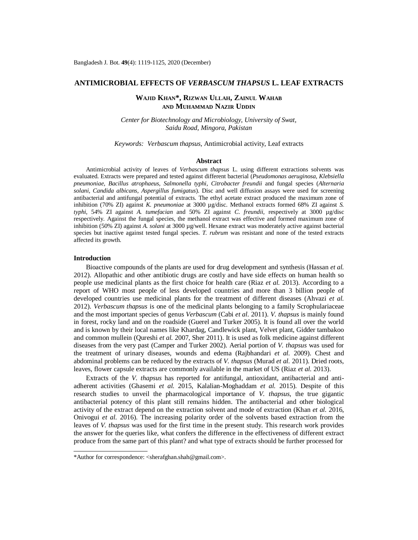# **ANTIMICROBIAL EFFECTS OF** *VERBASCUM THAPSUS* **L. LEAF EXTRACTS**

# **WAJID KHAN\*, RIZWAN ULLAH, ZAINUL WAHAB AND MUHAMMAD NAZIR UDDIN**

*Center for Biotechnology and Microbiology, University of Swat, Saidu Road, Mingora, Pakistan*

*Keywords: Verbascum thapsus,* Antimicrobial activity, Leaf extracts

#### **Abstract**

Antimicrobial activity of leaves of *Verbascum thapsus* L. using different extractions solvents was evaluated. Extracts were prepared and tested against different bacterial (*Pseudomonas aeruginosa, Klebsiella pneumoniae, Bacillus atrophaeus, Salmonella typhi*, *Citrobacter freundii* and fungal species (*Alternaria solani, Candida albicans, Aspergillus fumigatus*). Disc and well diffusion assays were used for screening antibacterial and antifungal potential of extracts. The ethyl acetate extract produced the maximum zone of inhibition (70% ZI) against *K. pneumoniae* at 3000 µg/disc. Methanol extracts formed 68% ZI against *S. typhi*, 54% ZI against *A. tumefacian* and 50% ZI against *C. freundii,* respectively at 3000 µg/disc respectively. Against the fungal species, the methanol extract was effective and formed maximum zone of inhibition (50% ZI) against *A. solani* at 3000 µg/well. Hexane extract was moderately active against bacterial species but inactive against tested fungal species. *T. rubrum* was resistant and none of the tested extracts affected its growth.

## **Introduction**

Bioactive compounds of the plants are used for drug development and synthesis (Hassan *et al.* 2012). Allopathic and other antibiotic drugs are costly and have side effects on human health so people use medicinal plants as the first choice for health care (Riaz *et al.* 2013). According to a report of WHO most people of less developed countries and more than 3 billion people of developed countries use medicinal plants for the treatment of different diseases (Ahvazi *et al.* 2012). *Verbascum thapsus* is one of the medicinal plants belonging to a family Scrophulariaceae and the most important species of genus *Verbascum* (Cabi *et al.* 2011). *V. thapsus* is mainly found in forest, rocky land and on the roadside (Guerel and Turker 2005). It is found all over the world and is known by their local names like Khardag, Candlewick plant, Velvet plant, Gidder tambakoo and common mullein (Qureshi *et al.* 2007, Sher 2011). It is used as folk medicine against different diseases from the very past (Camper and Turker 2002). Aerial portion of *V. thapsus* was used for the treatment of urinary diseases, wounds and edema (Rajbhandari *et al.* 2009). Chest and abdominal problems can be reduced by the extracts of *V. thapsus* (Murad *et al.* 2011). Dried roots, leaves, flower capsule extracts are commonly available in the market of US (Riaz *et al.* 2013).

Extracts of the *V. thapsus* has reported for antifungal, antioxidant, antibacterial and antiadherent activities (Ghasemi *et al.* 2015, Kalalian-Moghaddam *et al.* 2015). Despite of this research studies to unveil the pharmacological importance of *V. thapsus*, the true gigantic antibacterial potency of this plant still remains hidden. The antibacterial and other biological activity of the extract depend on the extraction solvent and mode of extraction (Khan *et al.* 2016, Onivogui *et al.* 2016). The increasing polarity order of the solvents based extraction from the leaves of *V. thapsus* was used for the first time in the present study. This research work provides the answer for the queries like, what confers the difference in the effectiveness of different extract produce from the same part of this plant? and what type of extracts should be further processed for

<sup>\*</sup>Author for correspondence: [<sherafghan.shah@gmail.com>](mailto:sherafghan.shah@gmail.com).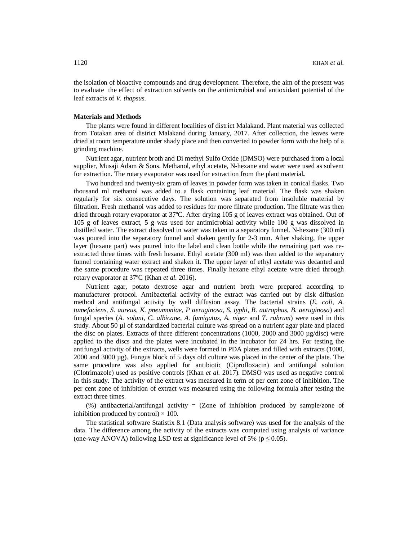the isolation of bioactive compounds and drug development. Therefore, the aim of the present was to evaluate the effect of extraction solvents on the antimicrobial and antioxidant potential of the leaf extracts of *V. thapsus.*

#### **Materials and Methods**

The plants were found in different localities of district Malakand. Plant material was collected from Totakan area of district Malakand during January, 2017. After collection, the leaves were dried at room temperature under shady place and then converted to powder form with the help of a grinding machine.

Nutrient agar, nutrient broth and Di methyl Sulfo Oxide (DMSO) were purchased from a local supplier, Musaji Adam & Sons. Methanol, ethyl acetate, N-hexane and water were used as solvent for extraction. The rotary evaporator was used for extraction from the plant material**.**

Two hundred and twenty-six gram of leaves in powder form was taken in conical flasks. Two thousand ml methanol was added to a flask containing leaf material. The flask was shaken regularly for six consecutive days. The solution was separated from insoluble material by filtration. Fresh methanol was added to residues for more filtrate production. The filtrate was then dried through rotary evaporator at 37ºC. After drying 105 g of leaves extract was obtained. Out of 105 g of leaves extract, 5 g was used for antimicrobial activity while 100 g was dissolved in distilled water. The extract dissolved in water was taken in a separatory funnel. N-hexane (300 ml) was poured into the separatory funnel and shaken gently for 2-3 min. After shaking, the upper layer (hexane part) was poured into the label and clean bottle while the remaining part was reextracted three times with fresh hexane. Ethyl acetate (300 ml) was then added to the separatory funnel containing water extract and shaken it. The upper layer of ethyl acetate was decanted and the same procedure was repeated three times. Finally hexane ethyl acetate were dried through rotary evaporator at 37ºC (Khan *et al*. 2016).

Nutrient agar, potato dextrose agar and nutrient broth were prepared according to manufacturer protocol. Antibacterial activity of the extract was carried out by disk diffusion method and antifungal activity by well diffusion assay. The bacterial strains (*E. coli*, *A. tumefaciens*, *S. aureus*, *K. pneumoniae*, *P aeruginosa*, *S. typhi*, *B. autrophus*, *B. aeruginosa*) and fungal species (*A. solani*, *C. albicane*, *A. fumigatus*, *A. niger* and *T. rubrum*) were used in this study. About 50 µl of standardized bacterial culture was spread on a nutrient agar plate and placed the disc on plates. Extracts of three different concentrations (1000, 2000 and 3000 µg/disc) were applied to the discs and the plates were incubated in the incubator for 24 hrs. For testing the antifungal activity of the extracts, wells were formed in PDA plates and filled with extracts (1000, 2000 and 3000 µg). Fungus block of 5 days old culture was placed in the center of the plate. The same procedure was also applied for antibiotic (Ciprofloxacin) and antifungal solution (Clotrimazole) used as positive controls (Khan *et al.* 2017). DMSO was used as negative control in this study. The activity of the extract was measured in term of per cent zone of inhibition. The per cent zone of inhibition of extract was measured using the following formula after testing the extract three times.

(%) antibacterial/antifungal activity = (Zone of inhibition produced by sample/zone of inhibition produced by control)  $\times$  100.

The statistical software Statistix 8.1 (Data analysis software) was used for the analysis of the data. The difference among the activity of the extracts was computed using analysis of variance (one-way ANOVA) following LSD test at significance level of 5% ( $p \le 0.05$ ).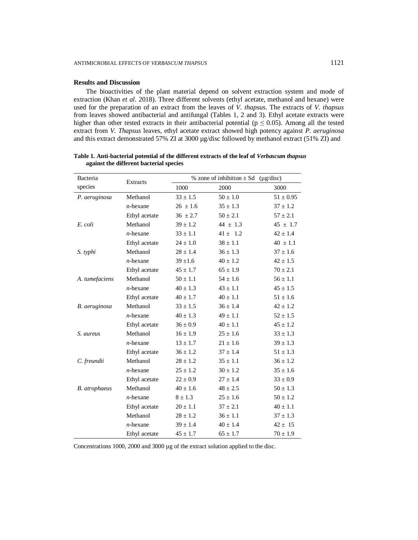## **Results and Discussion**

The bioactivities of the plant material depend on solvent extraction system and mode of extraction (Khan *et al.* 2018). Three different solvents (ethyl acetate, methanol and hexane) were used for the preparation of an extract from the leaves of *V. thapsus*. The extracts of *V. thapsus* from leaves showed antibacterial and antifungal (Tables 1, 2 and 3). Ethyl acetate extracts were higher than other tested extracts in their antibacterial potential ( $p \le 0.05$ ). Among all the tested extract from *V. Thapsus* leaves, ethyl acetate extract showed high potency against *P. aeruginosa* and this extract demonstrated 57% ZI at 3000 µg/disc followed by methanol extract (51% ZI) and

| Bacteria             | Extracts      |              | % zone of inhibition $\pm$ Sd (µg/disc) |               |
|----------------------|---------------|--------------|-----------------------------------------|---------------|
| species              |               | 1000         | 2000                                    | 3000          |
| P. aeruginosa        | Methanol      | $33 \pm 1.5$ | $50 \pm 1.0$                            | $51 \pm 0.95$ |
|                      | n-hexane      | $26 \pm 1.6$ | $35 \pm 1.3$                            | $37 \pm 1.2$  |
|                      | Ethyl acetate | $36 \pm 2.7$ | $50 \pm 2.1$                            | $57 \pm 2.1$  |
| E. coli              | Methanol      | $39 \pm 1.2$ | 44 $\pm$ 1.3                            | $45 \pm 1.7$  |
|                      | $n$ -hexane   | $33 \pm 1.1$ | $41 \pm 1.2$                            | $42 \pm 1.4$  |
|                      | Ethyl acetate | $24 \pm 1.0$ | $38 \pm 1.1$                            | $40 \pm 1.1$  |
| S. typhi             | Methanol      | $28 \pm 1.4$ | $36 \pm 1.3$                            | $37 \pm 1.6$  |
|                      | $n$ -hexane   | $39 \pm 1.6$ | $40 \pm 1.2$                            | $42 \pm 1.5$  |
|                      | Ethyl acetate | $45 \pm 1.7$ | $65 \pm 1.9$                            | $70 \pm 2.1$  |
| A. tumefaciens       | Methanol      | $50 \pm 1.1$ | $54 \pm 1.6$                            | $56 \pm 1.1$  |
|                      | $n$ -hexane   | $40 \pm 1.3$ | $43 \pm 1.1$                            | $45 \pm 1.5$  |
|                      | Ethyl acetate | $40 \pm 1.7$ | $40 \pm 1.1$                            | $51 \pm 1.6$  |
| B. aeruginosa        | Methanol      | $33 \pm 1.5$ | $36 \pm 1.4$                            | $42 \pm 1.2$  |
|                      | $n$ -hexane   | $40 \pm 1.3$ | $49 \pm 1.1$                            | $52 \pm 1.5$  |
|                      | Ethyl acetate | $36 \pm 0.9$ | $40 \pm 1.1$                            | $45 \pm 1.2$  |
| S. aureus            | Methanol      | $16 \pm 1.9$ | $25 \pm 1.6$                            | $33 \pm 1.3$  |
|                      | $n$ -hexane   | $13 \pm 1.7$ | $21 \pm 1.6$                            | $39 \pm 1.3$  |
|                      | Ethyl acetate | $36 \pm 1.2$ | $37 \pm 1.4$                            | $51 \pm 1.3$  |
| C. freundii          | Methanol      | $28 \pm 1.2$ | $35 \pm 1.1$                            | $36 \pm 1.2$  |
|                      | $n$ -hexane   | $25 \pm 1.2$ | $30 \pm 1.2$                            | $35 \pm 1.6$  |
|                      | Ethyl acetate | $22 \pm 0.9$ | $27 \pm 1.4$                            | $33 \pm 0.9$  |
| <b>B.</b> atrophaeus | Methanol      | $40 \pm 1.6$ | $48 \pm 2.5$                            | $50 \pm 1.3$  |
|                      | $n$ -hexane   | $8 \pm 1.3$  | $25 \pm 1.6$                            | $50 \pm 1.2$  |
|                      | Ethyl acetate | $20\pm1.1$   | $37 \pm 2.1$                            | $40 \pm 1.1$  |
|                      | Methanol      | $28 \pm 1.2$ | $36 \pm 1.1$                            | $37 \pm 1.3$  |
|                      | $n$ -hexane   | $39 \pm 1.4$ | $40 \pm 1.4$                            | $42 \pm 15$   |
|                      | Ethyl acetate | $45 \pm 1.7$ | $65 \pm 1.7$                            | $70 \pm 1.9$  |

**Table 1. Anti-bacterial potential of the different extracts of the leaf of** *Verbascum thapsus* **against the different bacterial species** 

Concentrations 1000, 2000 and 3000 µg of the extract solution applied to the disc.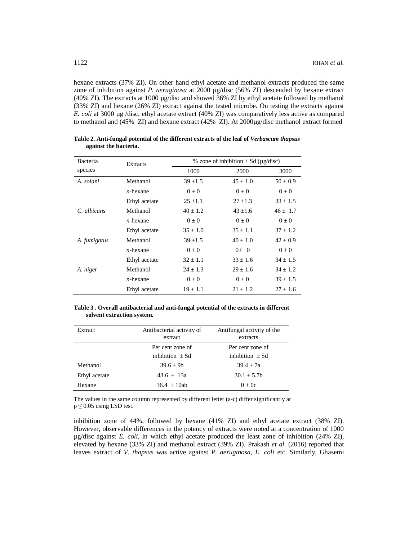hexane extracts (37% ZI). On other hand ethyl acetate and methanol extracts produced the same zone of inhibition against *P. aeruginosa* at 2000 µg/disc (56% ZI) descended by hexane extract (40% ZI). The extracts at 1000 µg/disc and showed 36% ZI by ethyl acetate followed by methanol (33% ZI) and hexane (26% ZI) extract against the tested microbe. On testing the extracts against *E. coli* at 3000 μg /disc, ethyl acetate extract (40% ZI) was comparatively less active as compared to methanol and (45% ZI) and hexane extract (42% ZI). At 2000µg/disc methanol extract formed

| Bacteria     | Extracts      | % zone of inhibition $\pm$ Sd ( $\mu$ g/disc) |              |              |
|--------------|---------------|-----------------------------------------------|--------------|--------------|
| species      |               | 1000                                          | 2000         | 3000         |
| A. solani    | Methanol      | $39 + 1.5$                                    | $45 + 1.0$   | $50 + 0.9$   |
|              | $n$ -hexane   | $0 + 0$                                       | $0 + 0$      | $0\pm 0$     |
|              | Ethyl acetate | $25 + 1.1$                                    | $27 + 1.3$   | $33 + 1.5$   |
| $C$ albicans | Methanol      | $40 + 1.2$                                    | $43 + 1.6$   | $46 \pm 1.7$ |
|              | $n$ -hexane   | $0 + 0$                                       | $0 + 0$      | $0 + 0$      |
|              | Ethyl acetate | $35 \pm 1.0$                                  | $35 \pm 1.1$ | $37 + 1.2$   |
| A. fumigatus | Methanol      | $39 + 1.5$                                    | $40 + 1.0$   | $42 + 0.9$   |
|              | $n$ -hexane   | $0 + 0$                                       | $0+0$        | $0 + 0$      |
|              | Ethyl acetate | $32 + 1.1$                                    | $33 + 1.6$   | $34 + 1.5$   |
| A. niger     | Methanol      | $24 + 1.3$                                    | $29 + 1.6$   | $34 + 1.2$   |
|              | $n$ -hexane   | $0\pm 0$                                      | $0 + 0$      | $39 \pm 1.5$ |
|              | Ethyl acetate | $19 \pm 1.1$                                  | $21 + 1.2$   | $27 + 1.6$   |

**Table 2. Anti-fungal potential of the different extracts of the leaf of** *Verbascum thapsus* **against the bacteria.**

|                            | Table 3. Overall antibacterial and anti-fungal potential of the extracts in different |  |  |
|----------------------------|---------------------------------------------------------------------------------------|--|--|
| solvent extraction system. |                                                                                       |  |  |

| Extract       | Antibacterial activity of<br>extract | Antifungal activity of the<br>extracts |
|---------------|--------------------------------------|----------------------------------------|
|               | Per cent zone of                     | Per cent zone of                       |
|               | inhibition $+Sd$                     | inhibition $\pm Sd$                    |
| Methanol      | $39.6 + 9h$                          | $39.4 \pm 7a$                          |
| Ethyl acetate | $43.6 + 13a$                         | $30.1 \pm 5.7$                         |
| Hexane        | $36.4 + 10ab$                        | $0 + 0c$                               |

The values in the same column represented by different letter (a-c) differ significantly at  $p \le 0.05$  using LSD test.

inhibition zone of 44%, followed by hexane (41% ZI) and ethyl acetate extract (38% ZI). However, observable differences in the potency of extracts were noted at a concentration of 1000 µg/disc against *E. coli*, in which ethyl acetate produced the least zone of inhibition (24% ZI), elevated by hexane (33% ZI) and methanol extract (39% ZI). Prakash *et al.* (2016) reported that leaves extract of *V. thapsus* was active against *P. aeruginosa, E. coli* etc. Similarly, Ghasemi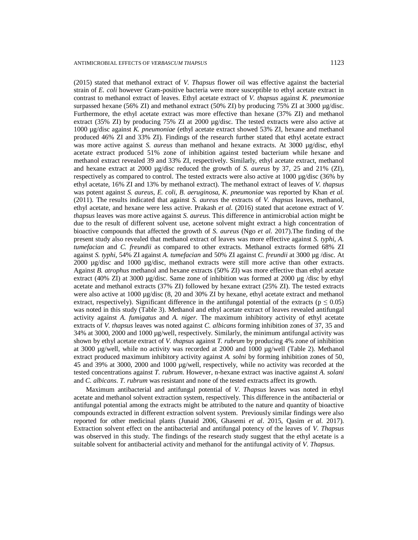(2015) stated that methanol extract of *V. Thapsus* flower oil was effective against the bacterial strain of *E. coli* however Gram-positive bacteria were more susceptible to ethyl acetate extract in contrast to methanol extract of leaves. Ethyl acetate extract of *V. thapsus* against *K. pneumoniae* surpassed hexane (56% ZI) and methanol extract (50% ZI) by producing 75% ZI at 3000  $\mu$ g/disc. Furthermore, the ethyl acetate extract was more effective than hexane (37% ZI) and methanol extract (35% ZI) by producing 75% ZI at 2000  $\mu$ g/disc. The tested extracts were also active at 1000 µg/disc against *K. pneumoniae* (ethyl acetate extract showed 53% ZI, hexane and methanol produced 46% ZI and 33% ZI). Findings of the research further stated that ethyl acetate extract was more active against *S. aureus* than methanol and hexane extracts. At 3000  $\mu$ g/disc, ethyl acetate extract produced 51% zone of inhibition against tested bacterium while hexane and methanol extract revealed 39 and 33% ZI, respectively. Similarly, ethyl acetate extract, methanol and hexane extract at 2000 µg/disc reduced the growth of *S. aureus* by 37, 25 and 21% (ZI), respectively as compared to control. The tested extracts were also active at 1000 µg/disc (36% by ethyl acetate, 16% ZI and 13% by methanol extract). The methanol extract of leaves of *V. thapsus* was potent against *S. aureus*, *E. coli*, *B. aeruginosa*, *K. pneumoniae* was reported by Khan *et al.* (2011). The results indicated that against *S. aureus* the extracts of *V. thapsus* leaves, methanol, ethyl acetate, and hexane were less active. Prakash *et al.* (2016) stated that acetone extract of *V. thapsus* leaves was more active against *S. aureus*. This difference in antimicrobial action might be due to the result of different solvent use, acetone solvent might extract a high concentration of bioactive compounds that affected the growth of *S. aureus* (Ngo *et al*. 2017).The finding of the present study also revealed that methanol extract of leaves was more effective against *S. typhi*, *A. tumefacian* and *C. freundii* as compared to other extracts. Methanol extracts formed 68% ZI against *S. typhi*, 54% ZI against *A. tumefacian* and 50% ZI against *C. freundii* at 3000 µg /disc. At 2000 µg/disc and 1000 µg/disc, methanol extracts were still more active than other extracts. Against *B. atrophus* methanol and hexane extracts (50% ZI) was more effective than ethyl acetate extract (40% ZI) at 3000 µg/disc. Same zone of inhibition was formed at 2000 µg /disc by ethyl acetate and methanol extracts (37% ZI) followed by hexane extract (25% ZI). The tested extracts were also active at 1000 µg/disc (8, 20 and 30% ZI by hexane, ethyl acetate extract and methanol extract, respectively). Significant difference in the antifungal potential of the extracts ( $p \le 0.05$ ) was noted in this study (Table 3). Methanol and ethyl acetate extract of leaves revealed antifungal activity against *A. fumigatus* and *A. niger.* The maximum inhibitory activity of ethyl acetate extracts of *V. thapsus* leaves was noted against *C. albicans* forming inhibition zones of 37, 35 and 34% at 3000, 2000 and 1000 µg/well, respectively. Similarly, the minimum antifungal activity was shown by ethyl acetate extract of *V. thapsus* against *T. rubrum* by producing 4% zone of inhibition at 3000 µg/well, while no activity was recorded at 2000 and 1000 µg/well (Table 2). Methanol extract produced maximum inhibitory activity against *A. solni* by forming inhibition zones of 50, 45 and 39% at 3000, 2000 and 1000 µg/well, respectively, while no activity was recorded at the tested concentrations against *T. rubrum*. However, n-hexane extract was inactive against *A. solani* and *C. albicans*. *T. rubrum* was resistant and none of the tested extracts affect its growth.

Maximum antibacterial and antifungal potential of *V*. *Thapsus* leaves was noted in ethyl acetate and methanol solvent extraction system, respectively. This difference in the antibacterial or antifungal potential among the extracts might be attributed to the nature and quantity of bioactive compounds extracted in different extraction solvent system. Previously similar findings were also reported for other medicinal plants (Junaid 2006, Ghasemi *et al*. 2015, Qasim *et al.* 2017). Extraction solvent effect on the antibacterial and antifungal potency of the leaves of *V*. *Thapsus* was observed in this study. The findings of the research study suggest that the ethyl acetate is a suitable solvent for antibacterial activity and methanol for the antifungal activity of *V*. *Thapsus*.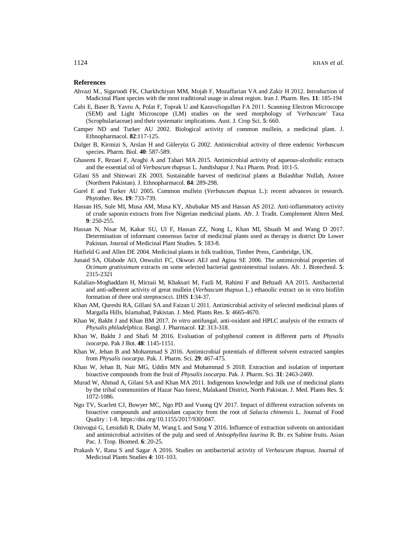#### **References**

- Ahvazi M., Sigaroodi FK, Charkhchiyan MM, Mojab F, Mozaffarian VA and Zakir H 2012. Introduction of Madicinal Plant species with the most traditional usage in almut region. Iran J. Pharm. Res. **11**: 185-194
- Cabi E, Baser B, Yavru A, Polat F, Toprak U and Karaveliogulları FA 2011. Scanning Electron Microscope (SEM) and Light Microscope (LM) studies on the seed morphology of *'Verbascum'* Taxa (Scrophulariaceae) and their systematic implications. Aust. J. Crop Sci. **5**: 660.
- Camper ND and Turker AU 2002. Biological activity of common mullein, a medicinal plant. J. Ethnopharmacol. **82**:117-125.
- Dulger B, Kirmizi S, Arslan H and Güleryüz G 2002. Antimicrobial activity of three endemic *Verbascum* species. Pharm. Biol. **40**: 587-589.
- Ghasemi F, Rezaei F, Araghi A and Tabari MA 2015. Antimicrobial activity of aqueous-alcoholic extracts and the essential oil of *Verbascum thapsus* L. Jundishapur J. Na.t Pharm. Prod. 10:1-5.
- Gilani SS and Shinwari ZK 2003. Sustainable harvest of medicinal plants at Bulashbar Nullah, Astore (Northern Pakistan). J. Ethnopharmacol. **84**: 289-298.
- Gurel E and Turker AU 2005. Common mullein (*Verbascum thapsus* L.): recent advances in research. Phytother. Res. **19**: 733-739.
- Hassan HS, Sule MI, Musa AM, Musa KY, Abubakar MS and Hassan AS 2012. Anti-inflammatory activity of crude saponin extracts from five Nigerian medicinal plants. Afr. J. Tradit. Complement Altern Med. **9**: 250-255.
- Hassan N, Nisar M, Kakar SU, Ul F, Hassan ZZ, Nong L, Khan MI, Shuaib M and Wang D 2017. Determination of informant consensus factor of medicinal plants used as therapy in district Dir Lower Pakistan. Journal of Medicinal Plant Studies. **5**: 183-8.
- Hatfield G and Allen DE 2004. Medicinal plants in folk tradition, Timber Press, Cambridge, UK.
- Junaid SA, Olabode AO, Onwuliri FC, Okwori AEJ and Agina SE 2006. The antimicrobial properties of *Ocimum gratissimum* extracts on some selected bacterial gastrointestinal isolates. Afr. J. Biotechnol. **5**: 2315-2321
- Kalalian-Moghaddam H, Mirzaii M, Khaksari M, Fazli M, Rahimi F and Behzadi AA 2015. Antibacterial and anti-adherent activity of great mullein (*Verbascum thapsus* L.) ethanolic extract on in vitro biofilm formation of three oral streptococci. IJHS **1**:34-37.
- Khan AM, Qureshi RA, Gillani SA and Faizan U 2011. Antimicrobial activity of selected medicinal plants of Margalla Hills, Islamabad, Pakistan. J. Med. Plants Res. **5**: 4665-4670.
- Khan W, Bakht J and Khan BM 2017. *In vitro* antifungal, anti-oxidant and HPLC analysis of the extracts of *Physalis philadelphica*. Bangl. J. Pharmacol. **12**: 313-318.
- Khan W, Bakht J and Shafi M 2016. Evaluation of polyphenol content in different parts of *Physalis ixocarpa*. Pak J Bot. **48**: 1145-1151.
- Khan W, Jehan B and Mohammad S 2016. Antimicrobial potentials of different solvent extracted samples from *Physalis ixocarpa*. Pak. J. Pharm. Sci. **29**: 467-475.
- Khan W, Jehan B, Nair MG, Uddin MN and Mohammad S 2018. Extraction and isolation of important bioactive compounds from the fruit of *Physalis ixocarpa*. Pak. J. Pharm. Sci. **31**: 2463-2469.
- Murad W, Ahmad A, Gilani SA and Khan MA 2011. Indigenous knowledge and folk use of medicinal plants by the tribal communities of Hazar Nao forest, Malakand District, North Pakistan. J. Med. Plants Res. **5**: 1072-1086.
- Ngo TV, Scarlett CJ, Bowyer MC, Ngo PD and Vuong QV 2017. Impact of different extraction solvents on bioactive compounds and antioxidant capacity from the root of *Salacia chinensis* L. Journal of Food Quality : 1-8. <https://doi.org/10.1155/2017/9305047.>
- Onivogui G, Letsididi R, Diaby M, Wang L and Song Y 2016. Influence of extraction solvents on antioxidant and antimicrobial activities of the pulp and seed of *Anisophyllea laurina* R. Br. ex Sabine fruits. Asian Pac. J. Trop. Biomed. **6**: 20-25.
- Prakash V, Rana S and Sagar A 2016. Studies on antibacterial activity of *Verbascum thapsus.* Journal of Medicinal Plants Studies **4**: 101-103.